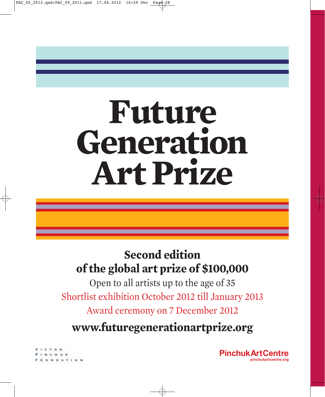# **Future Generation Art Prize**

# **Second edition of the global art prize of \$100,000**

Open to all artists up to the age of 35 Shortlist exhibition October 2012 till January 2013 Award ceremony on 7 December 2012

**www.futuregenerationartprize.org**

**PinchukArtCentre pinchukartcentre.org**

 $T + 0$  N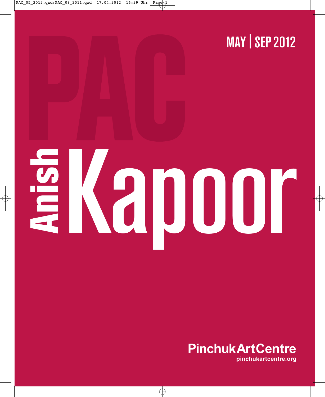# **MAY | SEP 2012**

# Anish Kapoor



**pinchukartcentre.org**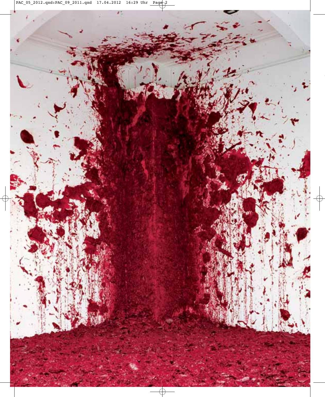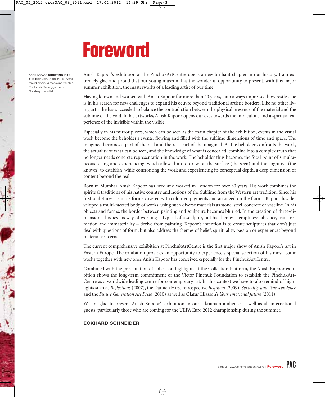# Foreword

Anish Kapoor, **SHOOTING INTO THE CORNER,** 2008–2009 (detail), mixed media, dimensions variable. Photo: Nic Tenwiggenhorn. Courtesy the artist

Anish Kapoor's exhibition at the PinchukArtCentre opens a new brilliant chapter in our history. I am extremely glad and proud that our young museum has the wonderful opportunity to present, with this major summer exhibition, the masterworks of a leading artist of our time.

Having known and worked with Anish Kapoor for more than 20 years, I am always impressed how restless he is in his search for new challenges to expand his oeuvre beyond traditional artistic borders. Like no other living artist he has succeeded to balance the contradiction between the physical presence of the material and the sublime of the void. In his artworks, Anish Kapoor opens our eyes towards the miraculous and a spiritual experience of the invisible within the visible.

Especially in his mirror pieces, which can be seen as the main chapter of the exhibition, events in the visual work become the beholder's events, flowing and filled with the sublime dimensions of time and space. The imagined becomes a part of the real and the real part of the imagined. As the beholder confronts the work, the actuality of what can be seen, and the knowledge of what is concealed, combine into a complex truth that no longer needs concrete representation in the work. The beholder thus becomes the focal point of simultaneous seeing and experiencing, which allows him to draw on the surface (the seen) and the cognitive (the known) to establish, while confronting the work and experiencing its conceptual depth, a deep dimension of content beyond the real.

Born in Mumbai, Anish Kapoor has lived and worked in London for over 30 years. His work combines the spiritual traditions of his native country and notions of the Sublime from the Western art tradition. Since his first sculptures – simple forms covered with coloured pigments and arranged on the floor – Kapoor has developed a multi-faceted body of works, using such diverse materials as stone, steel, concrete or vaseline. In his objects and forms, the border between painting and sculpture becomes blurred. In the creation of three-dimensional bodies his way of working is typical of a sculptor, but his themes – emptiness, absence, transformation and immateriality – derive from painting. Kapoor's intention is to create sculptures that don't just deal with questions of form, but also address the themes of belief, spirituality, passion or experiences beyond material concerns.

The current comprehensive exhibition at PinchukArtCentre is the first major show of Anish Kapoor's art in Eastern Europe. The exhibition provides an opportunity to experience a special selection of his most iconic works together with new ones Anish Kapoor has conceived especially for the PinchukArtCentre.

Combined with the presentation of collection highlights at the Collection Platform, the Anish Kapoor exhibition shows the long-term commitment of the Victor Pinchuk Foundation to establish the PinchukArt-Centre as a worldwide leading centre for contemporary art. In this context we have to also remind of highlights such as *Reflections* (2007), the Damien Hirst retrospective *Requiem* (2009), *Sexuality and Transcendence* and the *Future Generation Art Prize* (2010) as well as Olafur Eliasson's *Your emotional future* (2011).

We are glad to present Anish Kapoor's exhibition to our Ukrainian audience as well as all international guests, particularly those who are coming for the UEFA Euro 2012 championship during the summer.

### **ECKHARD SCHNEIDER**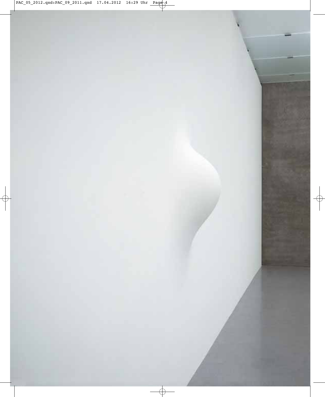

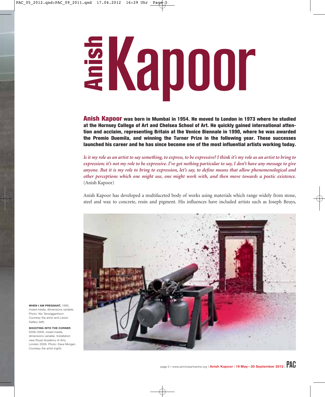# Anish Kapoor

Anish Kapoor was born in Mumbai in 1954. He moved to London in 1973 where he studied at the Hornsey College of Art and Chelsea School of Art. He quickly gained international attention and acclaim, representing Britain at the Venice Biennale in 1990, where he was awarded the Premio Duemila, and winning the Turner Prize in the following year. These successes launched his career and he has since become one of the most influential artists working today.

*Is it my role as an artist to say something, to express, to be expressive? I think it's my role as an artist to bring to expression; it's not my role to be expressive. I've got nothing particular to say, I don't have any message to give anyone. But it is my role to bring to expression, let's say, to define means that allow phenomenological and other perceptions which one might use, one might work with, and then move towards a poetic existence.* (Anish Kapoor)

Anish Kapoor has developed a multifaceted body of works using materials which range widely from stone, steel and wax to concrete, resin and pigment. His influences have included artists such as Joseph Beuys,



**WHEN I AM PREGNANT,** 1992, mixed media, dimensions variable. Photo: Nic Tenwiggenhorn. Courtesy the artist and Lisson Gallery (left)

**SHOOTING INTO THE CORNER**, 2008–2009, mixed media, dimensions variable. Installation view Royal Academy of Arts, London 2009. Photo: Dave Morgan. Courtesy the artist (right)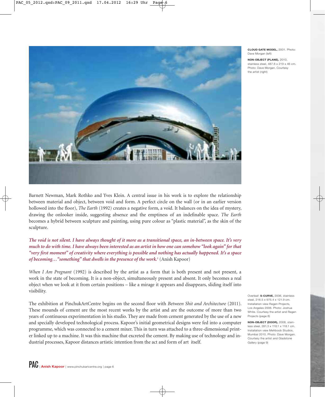

Barnett Newman, Mark Rothko and Yves Klein. A central issue in his work is to explore the relationship between material and object, between void and form. A perfect circle on the wall (or in an earlier version hollowed into the floor), *The Earth* (1992) creates a negative form, a void. It balances on the idea of mystery, drawing the onlooker inside, suggesting absence and the emptiness of an indefinable space. *The Earth*  becomes a hybrid between sculpture and painting, using pure colour as "plastic material", as the skin of the sculpture.

*The void is not silent. I have always thought of it more as a transitional space, an in-between space. It's very much to do with time. I have always been interested as an artist in how one can somehow "look again" for that "very first moment" of creativity where everything is possible and nothing has actually happened. It's a space of becoming…"something" that dwells in the presence of the work.***<sup>1</sup>** (Anish Kapoor)

*When I Am Pregnant* (1992) is described by the artist as a form that is both present and not present, a work in the state of becoming. It is a non-object, simultaneously present and absent. It only becomes a real object when we look at it from certain positions – like a mirage it appears and disappears, sliding itself into visibility.

The exhibition at PinchukArtCentre begins on the second floor with *Between Shit and Architecture* (2011). These mounds of cement are the most recent works by the artist and are the outcome of more than two years of continuous experimentation in his studio. They are made from cement generated by the use of a new and specially developed technological process. Kapoor's initial geometrical designs were fed into a computer programme, which was connected to a cement mixer. This in turn was attached to a three-dimensional printer linked up to a machine. It was this machine that excreted the cement. By making use of technology and industrial processes, Kapoor distances artistic intention from the act and form of art itself.

Overleaf: **S-CURVE,** 2006, stainless steel, 216.5 x 975.4 x 121.9 cm. Installation view Regen Projects, Los Angeles 2006. Photo: Joshua White. Courtesy the artist and Regen Projects (page 8)

**NON-OBJECT (DOOR),** 2008, stainless steel, 281.3 x 118.1 x 118.1 cm. Installation view Mehboob Studios, Mumbai 2010. Photo: Dave Morgan. Courtesy the artist and Gladstone Gallery (page 9)

**CLOUD GATE MODEL,** 2001. Photo: Dave Morgan (left)

**NON-OBJECT (PLANE),** 2010, stainless steel, 487.6 x 219 x 46 cm. Photo: Dave Morgan. Courtesy the artist (right)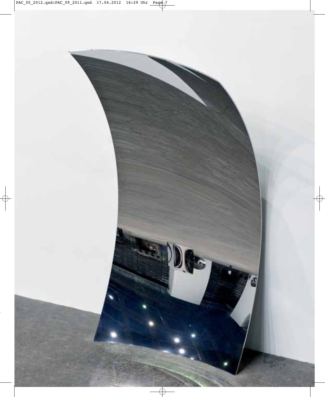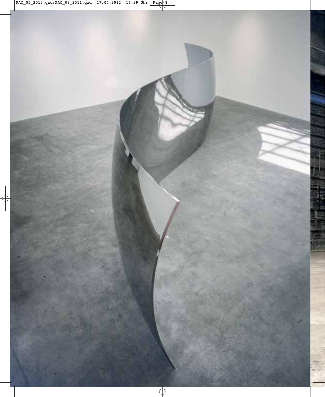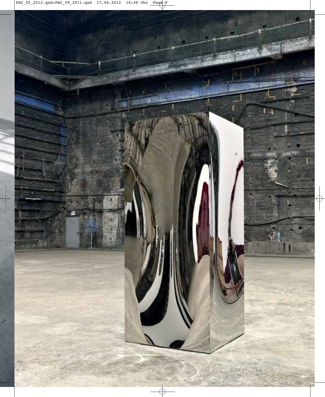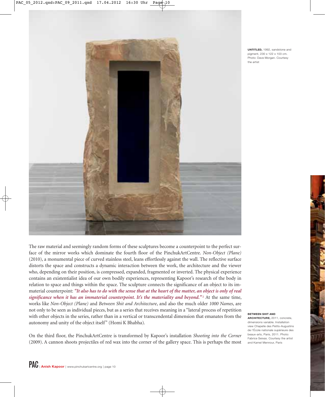PAC\_05\_2012.qxd:PAC\_09\_2011.qxd 17.04.2012 16:30 Uhr Page 10



The raw material and seemingly random forms of these sculptures become a counterpoint to the perfect surface of the mirror works which dominate the fourth floor of the PinchukArtCentre. *Non-Object (Plane)* (2010), a monumental piece of curved stainless steel, leans effortlessly against the wall. The reflective surface distorts the space and constructs a dynamic interaction between the work, the architecture and the viewer who, depending on their position, is compressed, expanded, fragmented or inverted. The physical experience contains an existentialist idea of our own bodily experiences, representing Kapoor's research of the body in relation to space and things within the space. The sculpture connects the significance of an object to its immaterial counterpoint: *"It also has to do with the sense that at the heart of the matter, an object is only of real significance when it has an immaterial counterpoint. It's the materiality and beyond***.***"* **<sup>2</sup>** At the same time, works like *Non-Object (Plane)* and *Between Shit and Architecture*, and also the much older *1000 Names*, are not only to be seen as individual pieces, but as a series that receives meaning in a "lateral process of repetition with other objects in the series, rather than in a vertical or transcendental dimension that emanates from the autonomy and unity of the object itself" (Homi K Bhabha)*.*

On the third floor, the PinchukArtCentre is transformed by Kapoor's installation *Shooting into the Corner* (2009). A cannon shoots projectiles of red wax into the corner of the gallery space. This is perhaps the most

### **BETWEEN SHIT AND**

**ARCHITECTURE,** 2011, concrete, dimensions variable. Installation view Chapelle des Petits-Augustins de l'École nationale supérieure des beaux-arts, Paris, 2011. Photo: Fabrice Seixas. Courtesy the artist and Kamel Mennour, Paris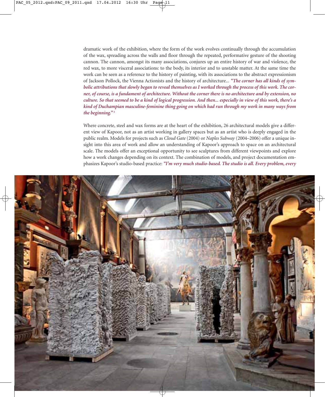dramatic work of the exhibition, where the form of the work evolves continually through the accumulation of the wax, spreading across the walls and floor through the repeated, performative gesture of the shooting cannon. The cannon, amongst its many associations, conjures up an entire history of war and violence, the red wax, to more visceral associations: to the body, its interior and to unstable matter. At the same time the work can be seen as a reference to the history of painting, with its associations to the abstract expressionism of Jackson Pollock, the Vienna Actionists and the history of architecture.*.. "The corner has all kinds of symbolic attributions that slowly began to reveal themselves as I worked through the process of this work. The corner, of course, is a fundament of architecture. Without the corner there is no architecture and by extension, no culture. So that seemed to be a kind of logical progression. And then... especially in view of this work, there's a kind of Duchampian masculine-feminine thing going on which had run through my work in many ways from the beginning."* **<sup>3</sup>**

Where concrete, steel and wax forms are at the heart of the exhibition, 26 architectural models give a different view of Kapoor, not as an artist working in gallery spaces but as an artist who is deeply engaged in the public realm. Models for projects such as *Cloud Gate* (2004) or *Naples Subway* (2004–2006) offer a unique insight into this area of work and allow an understanding of Kapoor's approach to space on an architectural scale. The models offer an exceptional opportunity to see sculptures from different viewpoints and explore how a work changes depending on its context. The combination of models, and project documentation emphasizes Kapoor's studio-based practice: *"I'm very much studio-based. The studio is all. Every problem, every*

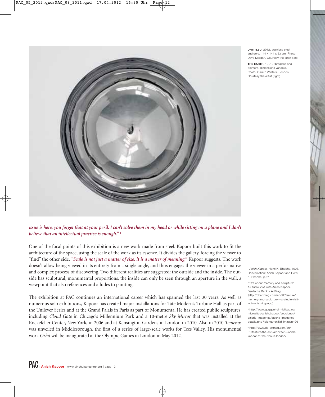

*issue is here, you forget that at your peril. I can't solve them in my head or while sitting on a plane and I don't believe that an intellectual practice is enough."* **<sup>4</sup>**

One of the focal points of this exhibition is a new work made from steel. Kapoor built this work to fit the architecture of the space, using the scale of the work as its essence. It divides the gallery, forcing the viewer to "find" the other side. *"Scale is not just a matter of size, it is a matter of meaning,"* Kapoor suggests. The work doesn't allow being viewed in its entirety from a single angle, and thus engages the viewer in a performative and complex process of discovering. Two different realities are suggested: the outside and the inside. The outside has sculptural, monumental proportions, the inside can only be seen through an aperture in the wall, a viewpoint that also references and alludes to painting.

The exhibition at PAC continues an international career which has spanned the last 30 years. As well as numerous solo exhibitions, Kapoor has created major installations for Tate Modern's Turbine Hall as part of the Unilever Series and at the Grand Palais in Paris as part of Monumenta. He has created public sculptures, including *Cloud Gate* in Chicago's Millennium Park and a 10-metre *Sky Mirror* that was installed at the Rockefeller Center, New York, in 2006 and at Kensington Gardens in London in 2010. Also in 2010 *Temenos* was unveiled in Middlesbrough, the first of a series of large-scale works for Tees Valley. His monumental work *Orbit* will be inaugurated at the Olympic Games in London in May 2012.

**UNTITLED,** 2012, stainless steel and gold, 144 x 144 x 23 cm. Photo: Dave Morgan. Courtesy the artist (left)

**THE EARTH,** 1991, fibreglass and pigment, dimensions variable. Photo: Gareth Winters, London. Courtesy the artist (right)

<sup>1</sup> *Anish Kapoor,* Homi K. Bhabha, 1998. Conversation: Anish Kapoor and Homi K. Bhabha, p. 21

<sup>2</sup> "It's about memory and sculpture" A Studio Visit with Anish Kapoor, Deutsche Bank – ArtMag. (http://dbartmag.com/en/52/feature/ memory-and-sculpture---a-studio-visitwith-anish-kapoor/)

<sup>3</sup> http://www.guggenheim-bilbao.es/ microsites/anish\_kapoor/secciones/ galeria\_imagenes/galeria\_imagenes\_ detalle.php?idioma=en&id\_imagen=26

<sup>4</sup> http://www.db-artmag.com/en/ 51/feature/the-anti-architect---anishkapoor-at-the-riba-in-london/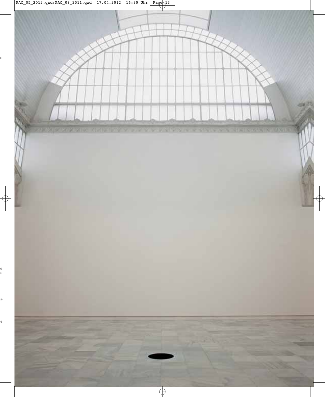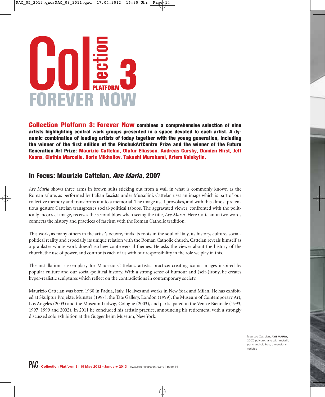

Collection Platform 3: Forever Now combines a comprehensive selection of nine artists highlighting central work groups presented in a space devoted to each artist. A dynamic combination of leading artists of today together with the young generation, including the winner of the first edition of the PinchukArtCentre Prize and the winner of the Future Generation Art Prize: Maurizio Cattelan, Olafur Eliasson, Andreas Gursky, Damien Hirst, Jeff Koons, Cinthia Marcelle, Boris Mikhailov, Takashi Murakami, Artem Volokytin.

# In Focus: Maurizio Cattelan, *Ave Maria*, 2007

*Ave Maria* shows three arms in brown suits sticking out from a wall in what is commonly known as the Roman salute, as performed by Italian fascists under Mussolini. Cattelan uses an image which is part of our collective memory and transforms it into a memorial. The image itself provokes, and with this almost pretentious gesture Cattelan transgresses social-political taboos. The aggravated viewer, confronted with the politically incorrect image, receives the second blow when seeing the title, *Ave Maria.* Here Cattelan in two words connects the history and practices of fascism with the Roman Catholic tradition.

This work, as many others in the artist's oeuvre, finds its roots in the soul of Italy, its history, culture, socialpolitical reality and especially its unique relation with the Roman Catholic church. Cattelan reveals himself as a prankster whose work doesn't eschew controversial themes. He asks the viewer about the history of the church, the use of power, and confronts each of us with our responsibility in the role we play in this.

The installation is exemplary for Maurizio Cattelan's artistic practice: creating iconic images inspired by popular culture and our social-political history. With a strong sense of humour and (self-)irony, he creates hyper-realistic sculptures which reflect on the contradictions in contemporary society.

Maurizio Cattelan was born 1960 in Padua, Italy. He lives and works in New York and Milan. He has exhibited at Skulptur Projekte, Münster (1997), the Tate Gallery, London (1999), the Museum of Contemporary Art, Los Angeles (2003) and the Museum Ludwig, Cologne (2003), and participated in the Venice Biennale (1993, 1997, 1999 and 2002). In 2011 he concluded his artistic practice, announcing his retirement, with a strongly discussed solo exhibition at the Guggenheim Museum, New York.

> Maurizio Cattelan, **AVE MARIA,** 2007, polyurethane with metallic parts and clothes, dimensions variable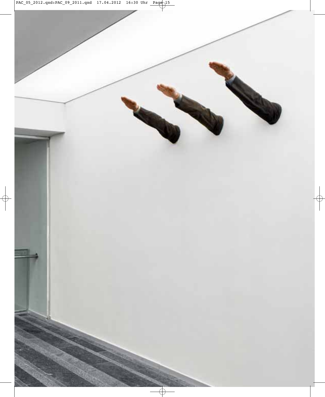

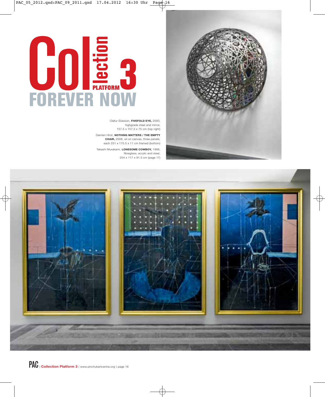

# 60 **DE CONTROLL** FOREVER NOW

Olafur Eliasson, **FIVEFOLD EYE,** 2000, highgrade steel and mirror, 157.5 x 157.5 x 75 cm (top right)

Damien Hirst, **NOTHING MATTERS / THE EMPTY CHAIR,** 2008, oil on canvas, three panels, each 251 x 175.5 x 11 cm framed (bottom)

Takashi Murakami, **LONESOME COWBOY,** 1998, fibreglass, acrylic and steel, 254 x 117 x 91.5 cm (page 17)

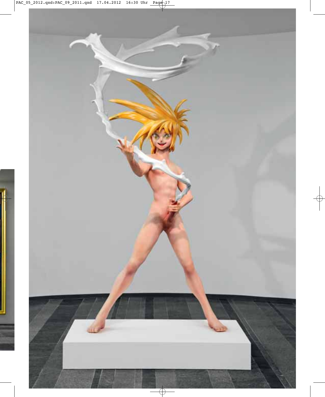

 $\overline{\uparrow}$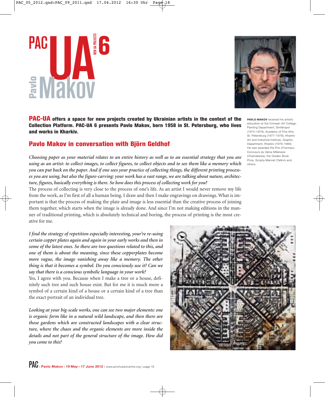

PAC-UA offers a space for new projects created by Ukrainian artists in the context of the Collection Platform. PAC-UA 6 presents Pavlo Makov, born 1958 in St. Petersburg, who lives and works in Kharkiv.

# Pavlo Makov in conversation with Björn Geldhof

*Choosing paper as your material relates to an entire history as well as to an essential strategy that you are using as an artist: to collect images, to collect figures, to collect objects and to see them like a memory which you can put back on the paper. And if one sees your practice of collecting things, the different printing processes you are using, but also the figure-carving: your work has a vast range, we are talking about nature, architecture, figures, basically everything is there. So how does this process of collecting work for you?*

The process of collecting is very close to the process of one's life. As an artist I would never remove my life from the work, as I'm first of all a human being. I draw and then I make engravings on drawings. What is important is that the process of making the plate and image is less essential than the creative process of joining them together, which starts when the image is already done. And since I'm not making editions in the manner of traditional printing, which is absolutely technical and boring, the process of printing is the most creative for me.

*I find the strategy of repetition especially interesting, your're re-using certain copper plates again and again in your early works and then in some of the latest ones. So there are two questions related to this, and one of them is about the meaning, since these copperplates become more vague, the image vanishing away like a memory. The other thing is that it becomes a symbol. Do you consciously use it? Can we say that there is a conscious symbolic language in your work?*

Yes, I agree with you. Because when I make a tree or a house, definitely such tree and such house exist. But for me it is much more a symbol of a certain kind of a house or a certain kind of a tree than the exact portrait of an individual tree.

*Looking at your big-scale works, one can see two major elements: one is organic form like in a natural wild landscape, and then there are those gardens which are constructed landscapes with a clear structure, where the chaos and the organic elements are more inside the details and not part of the general structure of the image. How did you come to this?*



education at the Crimean Art College, Painting Department, Simferopol (1974–1979), Academy of Fine Arts, St. Petersburg (1977–1978), Kharkiv Art and Industrial Institute, Graphic Department, Kharkiv (1979–1984). He was awarded the Prix d'honneur, Concours du 3ème Millenaire (Chamalieres), the Golden Book Prize, Scripta Mannet (Tallinn) and others.

**PAVLO MAKOV** received his artistic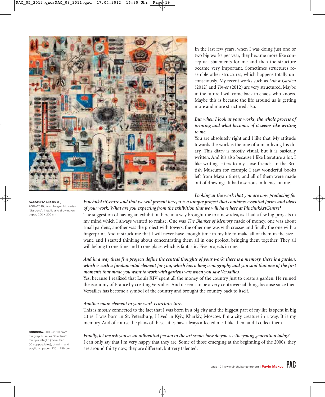

In the last few years, when I was doing just one or two big works per year, they became more like conceptual statements for me and then the structure became very important. Sometimes structures resemble other structures, which happens totally unconsciously. My recent works such as *Latest Garden* (2012) and *Tower* (2012) are very structured. Maybe in the future I will come back to chaos, who knows. Maybe this is because the life around us is getting more and more structured also.

# *But when I look at your works, the whole process of printing and what becomes of it seems like writing to me.*

You are absolutely right and I like that. My attitude towards the work is the one of a man living his diary. This diary is mostly visual, but it is basically written. And it's also because I like literature a lot. I like writing letters to my close friends. In the British Museum for example I saw wonderful books left from Mayan times, and all of them were made out of drawings. It had a serious influence on me.

*Looking at the work that you are now producing for*

*PinchukArtCentre and that we will present here, it is a unique project that combines essential forms and ideas of your work. What are you expecting from the exhibition that we will have here at PinchukArtCentre?* The suggestion of having an exhibition here in a way brought me to a new idea, as I had a few big projects in my mind which I always wanted to realize. One was *The Blanket of Memory* made of money, one was about small gardens, another was the project with towers, the other one was with crosses and finally the one with a fingerprint. And it struck me that I will never have enough time in my life to make all of them in the size I want, and I started thinking about concentrating them all in one project, bringing them together. They all will belong to one time and to one place, which is fantastic. Five projects in one.

# *And in a way these five projects define the central thoughts of your work: there is a memory, there is a garden, which is such a fundamental element for you, which has a long iconography and you said that one of the first moments that made you want to work with gardens was when you saw Versailles.*

Yes, because I realized that Louis XIV spent all the money of the country just to create a garden. He ruined the economy of France by creating Versailles. And it seems to be a very controversial thing, because since then Versailles has become a symbol of the country and brought the country back to itself.

### *Another main element in your work is architecture.*

This is mostly connected to the fact that I was born in a big city and the biggest part of my life is spent in big cities. I was born in St. Petersburg, I lived in Kyiv, Kharkiv, Moscow. I'm a city creature in a way. It is my memory. And of course the plans of these cities have always affected me. I like them and I collect them.

# *Finally, let me ask you as an influential person in the art scene: how do you see the young generation today?*

I can only say that I'm very happy that they are. Some of those emerging at the beginning of the 2000s, they are around thirty now, they are different, but very talented.

**DONROSA,** 2008–2010, from the graphic series "Gardens", multiple intaglio (more then 50 copperplates), drawing and acrylic on paper, 236 x 236 cm

**GARDEN TO MISSIS M.,** 2009–2010, from the graphic series "Gardens", intaglio and drawing on

,

paper, 200 x 200 cm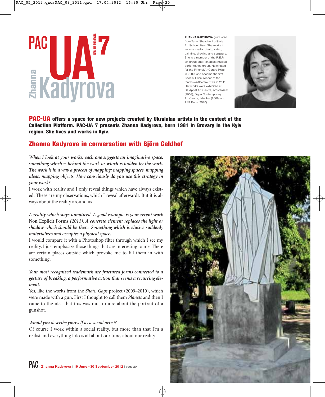

**ZHANNA KADYROVA** graduated from Taras Shevchenko State Art School, Kyiv. She works in various media: photo, video, painting, drawing and sculpture. She is a member of the R.E.P. art group and Penoplast musical performance group. Nominated for the PinchukArtCentre Prize in 2009, she became the first Special Prize Winner of the PinchukArtCentre Prize in 2011. Her works were exhibited at De Appel Art Centre, Amsterdam (2008), Depo Contemporary Art Centre, Istanbul (2009) and ART Paris (2010).



PAC-UA offers a space for new projects created by Ukrainian artists in the context of the Collection Platform. PAC-UA 7 presents Zhanna Kadyrova, born 1981 in Brovary in the Kyiv region. She lives and works in Kyiv.

# Zhanna Kadyrova in conversation with Björn Geldhof

*When I look at your works, each one suggests an imaginative space, something which is behind the work or which is hidden by the work. The work is in a way a process of mapping: mapping spaces, mapping ideas, mapping objects. How consciously do you use this strategy in your work?*

I work with reality and I only reveal things which have always existed. These are my observations, which I reveal afterwards. But it is always about the reality around us.

*A reality which stays unnoticed. A good example is your recent work* **Non Explicit Forms** *(2011). A concrete element replaces the light or shadow which should be there. Something which is elusive suddenly materializes and occupies a physical space.*

I would compare it with a Photoshop filter through which I see my reality. I just emphasize those things that are interesting to me. There are certain places outside which provoke me to fill them in with something.

# *Your most recognized trademark are fractured forms connected to a gesture of breaking, a performative action that seems a recurring element.*

Yes, like the works from the *Shots. Gaps* project (2009–2010), which were made with a gun. First I thought to call them *Planets* and then I came to the idea that this was much more about the portrait of a gunshot.

### *Would you describe yourself as a social artist?*

Of course I work within a social reality, but more than that I'm a realist and everything I do is all about our time, about our reality.

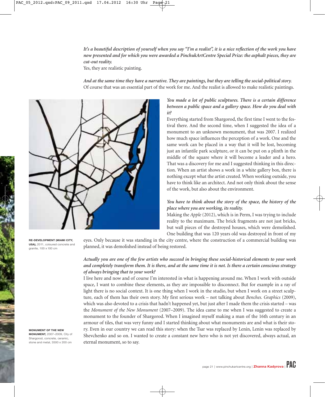*It's a beautiful description of yourself when you say "I'm a realist", it is a nice reflection of the work you have now presented and for which you were awarded a PinchukArtCentre Special Prize: the asphalt pieces, they are cut-out reality.*

Yes, they are realistic painting.

*And at the same time they have a narrative. They are paintings, but they are telling the social-political story.* Of course that was an essential part of the work for me. And the realist is allowed to make realistic paintings.



# *You made a lot of public sculptures. There is a certain difference between a public space and a gallery space. How do you deal with it?*

Everything started from Shargorod, the first time I went to the festival there. And the second time, when I suggested the idea of a monument to an unknown monument, that was 2007. I realized how much space influences the perception of a work. One and the same work can be placed in a way that it will be lost, becoming just an infantile park sculpture, or it can be put on a plinth in the middle of the square where it will become a leader and a hero. That was a discovery for me and I suggested thinking in this direction. When an artist shows a work in a white gallery box, there is nothing except what the artist created. When working outside, you have to think like an architect. And not only think about the sense of the work, but also about the environment.

# *You have to think about the story of the space, the history of the place where you are working, its reality.*

Making the *Apple* (2012), which is in Perm, I was trying to include reality to the maximum. The brick fragments are not just bricks, but wall pieces of the destroyed houses, which were demolished. One building that was 120 years old was destroyed in front of my

eyes. Only because it was standing in the city centre, where the construction of a commercial building was planned, it was demolished instead of being restored.

# *Actually you are one of the few artists who succeed in bringing these social-historical elements to your work and completely transform them. It is there, and at the same time it is not. Is there a certain conscious strategy of always bringing that to your work?*

I live here and now and of course I'm interested in what is happening around me. When I work with outside space, I want to combine these elements, as they are impossible to disconnect. But for example in a ray of light there is no social context. It is one thing when I work in the studio, but when I work on a street sculpture, each of them has their own story. My first serious work – not talking about *Benches. Graphics* (2009), which was also devoted to a crisis that hadn't happened yet, but just after I made them the crisis started – was the *Monument of the New Monument* (2007–2009). The idea came to me when I was suggested to create a monument to the founder of Shargorod. When I imagined myself making a man of the 16th century in an armour of tiles, that was very funny and I started thinking about what monuments are and what is their story. Even in our country we can read this story: when the Tsar was replaced by Lenin, Lenin was replaced by Shevchenko and so on. I wanted to create a constant new hero who is not yet discovered, always actual, an eternal monument, so to say.

**RE-DEVELOPMENT (MIAMI CITY, USA),** 2011, coloured concrete and granite, 100 x 100 cm

**MONUMENT OF THE NEW MONUMENT,** 2007–2009, City of Shargorod, concrete, ceramic, stone and metal, 3500 x 200 cm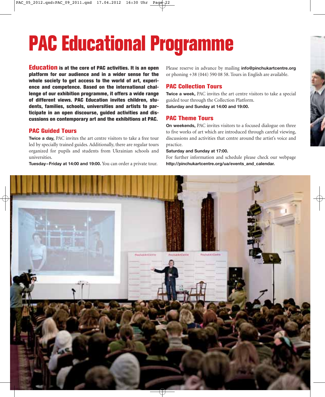# PAC Educational Programme

Education is at the core of PAC activities. It is an open platform for our audience and in a wider sense for the whole society to get access to the world of art, experience and competence. Based on the international challenge of our exhibition programme, it offers a wide range of different views. PAC Education invites children, students, families, schools, universities and artists to participate in an open discourse, guided activities and discussions on contemporary art and the exhibitions at PAC.

# PAC Guided Tours

**Twice a day,** PAC invites the art centre visitors to take a free tour led by specially trained guides. Additionally, there are regular tours organized for pupils and students from Ukrainian schools and universities.

**Tuesday–Friday at 14:00 and 19:00.** You can order a private tour.

Please reserve in advance by mailing **info@pinchukartcentre.org** or phoning +38 (044) 590 08 58. Tours in English are available.

# PAC Collection Tours

**Twice a week,** PAC invites the art centre visitors to take a special guided tour through the Collection Platform. **Saturday and Sunday at 14:00 and 19:00.**

# PAC Theme Tours

**On weekends,** PAC invites visitors to a focused dialogue on three to five works of art which are introduced through careful viewing, discussions and activities that centre around the artist's voice and practice.

### **Saturday and Sunday at 17:00.**

For further information and schedule please check our webpage **http://pinchukartcentre.org/ua/events\_and\_calendar.**

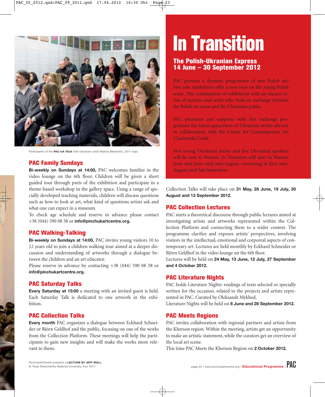

Participants of the **PAC-UA TALK** with Ukrainian artist Mykola Matsenko, 2011 (top)

# PAC Family Sundays

**Bi-weekly on Sundays at 14:00,** PAC welcomes families in the video lounge on the 6th floor. Children will be given a short guided tour through parts of the exhibition and participate in a theme-based workshop in the gallery space. Using a range of specially developed teaching materials, children will discuss questions such as how to look at art, what kind of questions artists ask and what one can expect in a museum.

To check age schedule and reserve in advance please contact +38 (044) 590 08 58 or **info@pinchukartcentre.org.**

# PAC Walking-Talking

**Bi-weekly on Sundays at 14:00,** PAC invites young visitors 10 to 12 years old to join a children walking tour aimed at a deeper discussion and understanding of artworks through a dialogue between the children and an art educator.

Please reserve in advance by contacting +38 (044) 590 08 58 or **info@pinchukartcentre.org.**

# PAC Saturday Talks

**Every Saturday at 15:00** a meeting with an invited guest is held. Each Saturday Talk is dedicated to one artwork in the exhibition.

# PAC Collection Talks

**Every month** PAC organizes a dialogue between Eckhard Schneider or Björn Geldhof and the public, focusing on one of the works from the Collection Platform. These meetings will help the participants to gain new insights and will make the works more relevant to them.

# In Transition

# The Polish-Ukranian Express 14 June – 30 September 2012

PAC presents a dynamic programme of new Polish art! Five solo exhibitions offer a new view on the young Polish scene. The combination of exhibitions with an intense series of lectures and artist talks fuels an exchange between the Polish art scene and the Ukrainian public.

PAC promotes and supports with this exchange programme the future generation of Ukrainian artists abroad, in collaboration with the Centre for Contemporary Art Ujazdowski Castle.

Five young Ukrainian artists and five Ukrainian speakers will be sent to Warsaw. *In Transition* will start in Warsaw from mid-June until mid-August, continuing in Kyiv mid-August until late September.

Collection Talks will take place on **31 May, 28 June, 19 July, 30 August and 13 September 2012.**

# PAC Collection Lectures

PAC starts a theoretical discourse through public lectures aimed at investigating artists and artworks represented within the Collection Platform and connecting them to a wider context. The programme clarifies and exposes artists' perspectives, involving visitors in the intellectual, emotional and corporeal aspects of contemporary art. Lectures are held monthly by Eckhard Schneider or Björn Geldhof in the video lounge on the 6th floor.

Lectures will be held on **24 May, 13 June, 12 July, 27 September and 4 October 2012.**

# PAC Literature Nights

PAC holds Literature Nights: readings of texts selected or specially written for the occasion, related to the projects and artists represented in PAC. Curated by Oleksandr Mykhed.

Literature Nights will be held on **8 June and 28 September 2012.**

# PAC Meets Regions

PAC invites collaboration with regional partners and artists from the Kherson region. Within the meeting, artists get an opportunity to make an artistic statement, while the curators get an overview of the local art scene.

This time PAC Meets the Kherson Region on **2 October 2012.**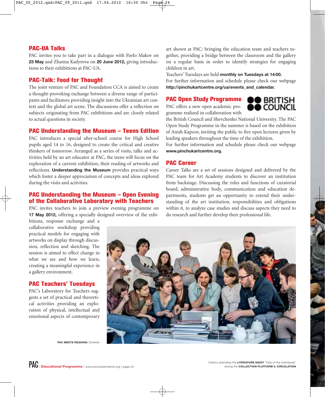# PAC-UA Talks

PAC invites you to take part in a dialogue with Pavlo Makov on **23 May** and Zhanna Kadyrova on **20 June 2012,** giving introductions to their exhibitions at PAC-UA.

# PAC-Talk: Food for Thought

The joint venture of PAC and Foundation CCA is aimed to create a thought-provoking exchange between a diverse range of participants and facilitators providing insight into the Ukrainian art context and the global art scene. The discussions offer a reflection on subjects originating from PAC exhibitions and are closely related to actual questions in society.

# PAC Understanding the Museum – Teens Edition

PAC introduces a special after-school course for High School pupils aged 14 to 16, designed to create the critical and creative thinkers of tomorrow. Arranged as a series of visits, talks and activities held by an art educator at PAC, the teens will focus on the exploration of a current exhibition, their reading of artworks and reflections. **Understanding the Museum** provides practical ways which foster a deeper appreciation of concepts and ideas explored during the visits and activities.

# PAC Understanding the Museum – Open Evening of the Collaborative Laboratory with Teachers

PAC invites teachers to join a preview evening programme on **17 May 2012,** offering a specially designed overview of the exhi-

bitions, response exchange and a collaborative workshop providing practical models for engaging with artworks on display through discussion, reflection and sketching. The session is aimed to effect change in what we see and how we learn, creating a meaningful experience in a gallery environment.

# PAC Teachers' Tuesdays

PAC's Laboratory for Teachers suggests a set of practical and theoretical activities providing an exploration of physical, intellectual and emotional aspects of contemporary art shown at PAC: bringing the education team and teachers together, providing a bridge between the classroom and the gallery on a regular basis in order to identify strategies for engaging children in art.

Teachers' Tuesdays are held **monthly on Tuesdays at 14:00.**

For further information and schedule please check our webpage **http://pinchukartcentre.org/ua/events\_and\_calendar.**

# PAC Open Study Programme

PAC offers a new open academic programme realized in collaboration with



the British Council and Shevchenko National University. The PAC Open Study Programme in the summer is based on the exhibition of Anish Kapoor, inviting the public to five open lectures given by leading speakers throughout the time of the exhibition.

For further information and schedule please check our webpage **www.pinchukartcentre.org.**

# PAC Career

Career Talks are a set of sessions designed and delivered by the PAC team for Art Academy students to discover an institution from backstage. Discussing the roles and functions of curatorial board, administrative body, communication and education departments, students get an opportunity to extend their understanding of the art institution, responsibilities and obligations within it, to analyze case studies and discuss aspects they need to do research and further develop their professional life.



**PAC MEETS REGIONS:** Donetsk

Visitors attending the **LITERATURE NIGHT** "Fate of the Individuals" during the **COLLECTION PLATFORM 2: CIRCULATION**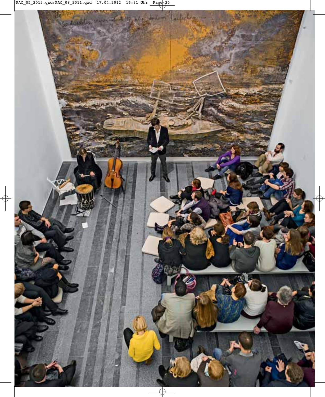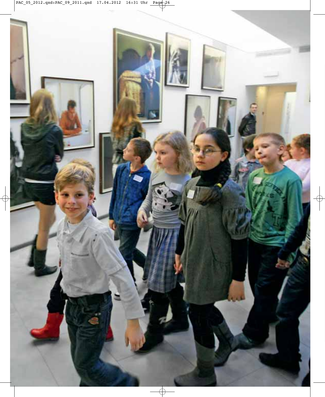

 $\bigcap$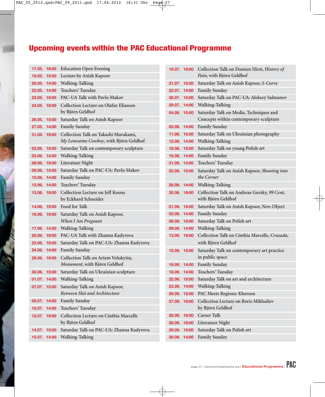# Upcoming events within the PAC Educational Programme

| 17.05.       | 16:00        | <b>Education Open Evening</b>                                                  |
|--------------|--------------|--------------------------------------------------------------------------------|
|              | 19.05. 15:00 | Lecture by Anish Kapoor                                                        |
| 20.05. 14:00 |              | Walking-Talking                                                                |
| 22.05. 14:00 |              | Teachers' Tuesday                                                              |
| 23.05. 19:00 |              | PAC-UA Talk with Pavlo Makov                                                   |
| 24.05. 19:00 |              | <b>Collection Lecture on Olafur Eliasson</b><br>by Björn Geldhof               |
| 26.05.       | 15:00        | Saturday Talk on Anish Kapoor                                                  |
| 27.05.       | 14:00        | <b>Family Sunday</b>                                                           |
| 31.05.       | 19:00        | Collection Talk on Takashi Murakami,<br>My Lonesome Cowboy, with Björn Geldhof |
| 02.06.       | 15:00        | Saturday Talk on contemporary sculpture                                        |
| 03.06. 14:00 |              | <b>Walking-Talking</b>                                                         |
| 08.06.       | 19:00        | Literature Night                                                               |
| 09.06.       | 15:00        | Saturday Talk on PAC-UA: Pavlo Makov                                           |
| 10.06. 14:00 |              | <b>Family Sunday</b>                                                           |
| 12.06. 14:00 |              | Teachers' Tuesday                                                              |
| 13.06. 19:00 |              | Collection Lecture on Jeff Koons<br>by Eckhard Schneider                       |
| 14.06.       | 19:00        | Food for Talk                                                                  |
| 16.06.       | 19:00        | Saturday Talk on Anish Kapoor,                                                 |
|              |              | When I Am Pregnant                                                             |
| 17.06. 14:00 |              | <b>Walking-Talking</b>                                                         |
| 20.06.       | 19:00        | PAC-UA Talk with Zhanna Kadyrova                                               |
| 23.06.       | 15:00        | Saturday Talk on PAC-UA: Zhanna Kadyrova                                       |
| 24.06. 14:00 |              | <b>Family Sunday</b>                                                           |
| 28.06.       | 19:00        | Collection Talk on Artem Volokytin,<br>Monument, with Björn Geldhof            |
| 30.06.       | 15:00        | Saturday Talk on Ukrainian sculpture                                           |
| 01.07.       | 14:00        | Walking-Talking                                                                |
| 07.07.       | 15:00        | Saturday Talk on Anish Kapoor,<br>Between Shit and Architecture                |
| 08.07.       | 14:00        | <b>Family Sunday</b>                                                           |
| 10.07.       | 14:00        | Teachers' Tuesday                                                              |
| 12.07.       | 19:00        | Collection Lecture on Cinthia Marcelle<br>by Björn Geldhof                     |
| 14.07.       | 15:00        | Saturday Talk on PAC-UA: Zhanna Kadyrova                                       |
| 15.07.       | 14:00        | Walking-Talking                                                                |

| 19.07. 19:00    | Collection Talk on Damien Hirst, History of<br>Pain, with Björn Geldhof          |
|-----------------|----------------------------------------------------------------------------------|
| 21.07.<br>15:00 | Saturday Talk on Anish Kapoor, S-Curve                                           |
| 22.07. 14:00    | <b>Family Sunday</b>                                                             |
| 28.07. 15:00    | Saturday Talk on PAC-UA: Aleksey Salmanov                                        |
| 29.07. 14:00    | Walking-Talking                                                                  |
| 04.08. 15:00    | Saturday Talk on Media, Techniques and<br>Concepts within contemporary sculpture |
| 05.08.<br>14:00 | <b>Family Sunday</b>                                                             |
| 11.08.<br>15:00 | Saturday Talk on Ukrainian photography                                           |
| 12.08.<br>14:00 | Walking-Talking                                                                  |
| 18.08. 15:00    | Saturday Talk on young Polish art                                                |
| 19.08. 14:00    | <b>Family Sunday</b>                                                             |
| 21.08. 14:00    | Teachers' Tuesday                                                                |
| 25.08. 15:00    | Saturday Talk on Anish Kapoor, Shooting into<br>the Corner                       |
| 26.08. 14:00    | Walking-Talking                                                                  |
| 30.08, 19:00    | Collection Talk on Andreas Gursky, 99 Cent,<br>with Björn Geldhof                |
| 01.09. 15:00    | Saturday Talk on Anish Kapoor, Non-Object                                        |
| 02.09. 14:00    | <b>Family Sunday</b>                                                             |
| 08.09. 15:00    | Saturday Talk on Polish art                                                      |
| 09.09. 14:00    | Walking-Talking                                                                  |
| 13.09. 19:00    | Collection Talk on Cinthia Marcelle, Cruzada,<br>with Björn Geldhof              |
| 15.09. 15:00    | Saturday Talk on contemporary art practice<br>in public space                    |
| 16.09. 14:00    | <b>Family Sunday</b>                                                             |
| 18.09. 14:00    | Teachers' Tuesday                                                                |
| 22.09. 15:00    | Saturday Talk on art and architecture                                            |
| 23.09. 14:00    | <b>Walking-Talking</b>                                                           |
| 26.09. 12:00    | PAC Meets Regions: Kherson                                                       |
| 27.09.<br>19:00 | <b>Collection Lecture on Boris Mikhailov</b><br>by Björn Geldhof                 |
| 28.09.<br>16:00 | <b>Career Talk</b>                                                               |
| 28.09.<br>19:00 | <b>Literature Night</b>                                                          |
| 29.09.<br>15:00 | Saturday Talk on Polish art                                                      |
| 30.09.<br>14:00 | <b>Family Sunday</b>                                                             |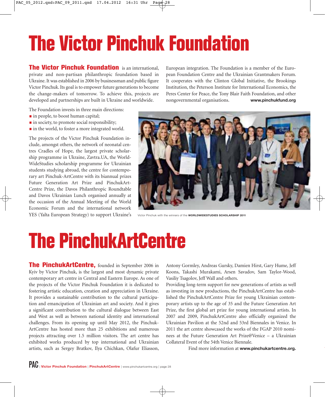# The Victor Pinchuk Foundation

**The Victor Pinchuk Foundation** is an international, private and non-partisan philanthropic foundation based in Ukraine. It was established in 2006 by businessman and public figure Victor Pinchuk. Its goal is to empower future generations to become the change-makers of tomorrow. To achieve this, projects are developed and partnerships are built in Ukraine and worldwide.

European integration. The Foundation is a member of the European Foundation Centre and the Ukrainian Grantmakers Forum. It cooperates with the Clinton Global Initiative, the Brookings Institution, the Peterson Institute for International Economics, the Peres Center for Peace, the Tony Blair Faith Foundation, and other nongovernmental organisations. **www.pinchukfund.org**

The Foundation invests in three main directions:

- in people, to boost human capital;
- $\blacksquare$  in society, to promote social responsibility;
- $\blacksquare$  in the world, to foster a more integrated world.

The projects of the Victor Pinchuk Foundation include, amongst others, the network of neonatal centres Cradles of Hope, the largest private scholarship programme in Ukraine, Zavtra.UA, the World-WideStudies scholarship programme for Ukrainian students studying abroad, the centre for contemporary art Pinchuk-ArtCentre with its biannual prizes Future Generation Art Prize and PinchukArt-Centre Prize, the Davos Philanthropic Roundtable and Davos Ukrainian Lunch organised annually at the occasion of the Annual Meeting of the World Economic Forum and the international network YES (Yalta European Strategy) to support Ukraine's



Victor Pinchuk with the winners of the **WORLDWIDESTUDIES SCHOLARSHIP 2011**

# The PinchukArtCentre

The PinchukArtCentre, founded in September 2006 in Kyiv by Victor Pinchuk, is the largest and most dynamic private contemporary art centre in Central and Eastern Europe. As one of the projects of the Victor Pinchuk Foundation it is dedicated to fostering artistic education, creation and appreciation in Ukraine. It provides a sustainable contribution to the cultural participation and emancipation of Ukrainian art and society. And it gives a significant contribution to the cultural dialogue between East and West as well as between national identity and international challenges. From its opening up until May 2012, the Pinchuk-ArtCentre has hosted more than 25 exhibitions and numerous projects attracting over 1.5 million visitors. The art centre has exhibited works produced by top international and Ukrainian artists, such as Sergey Bratkov, Ilya Chichkan, Olafur Eliasson,

Antony Gormley, Andreas Gursky, Damien Hirst, Gary Hume, Jeff Koons, Takashi Murakami, Arsen Savadov, Sam Taylor-Wood, Vasiliy Tsagolov, Jeff Wall and others.

Providing long-term support for new generations of artists as well as investing in new productions, the PinchukArtCentre has established the PinchukArtCentre Prize for young Ukrainian contemporary artists up to the age of 35 and the Future Generation Art Prize, the first global art prize for young international artists. In 2007 and 2009, PinchukArtCentre also officially organized the Ukrainian Pavilion at the 52nd and 53rd Biennales in Venice. In 2011 the art centre showcased the works of the FGAP 2010 nominees at the Future Generation Art Prize@Venice – a Ukrainian Collateral Event of the 54th Venice Biennale.

Find more information at **www.pinchukartcentre.org.**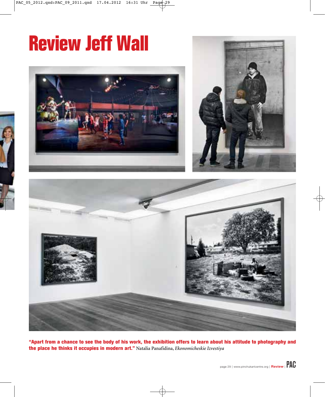# Review Jeff Wall







"Apart from a chance to see the body of his work, the exhibition offers to learn about his attitude to photography and the place he thinks it occupies in modern art." **Natalia Panafidina,** *Ekonomicheskie Izvestiya*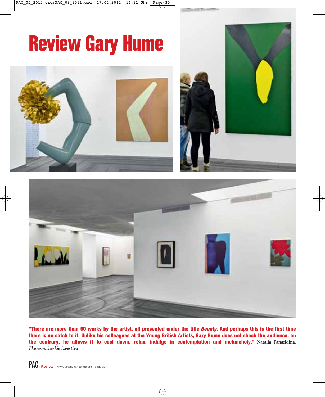# Review Gary Hume







"There are more than 60 works by the artist, all presented under the title *Beauty*. And perhaps this is the first time there is no catch to it. Unlike his colleagues at the Young British Artists, Gary Hume does not shock the audience, on the contrary, he allows it to cool down, relax, indulge in contemplation and melancholy." **Natalia Panafidina,** *Ekonomicheskie Izvestiya*

PAC<sup>|</sup> **Review** | www.pinchukartcentre.org | page 30